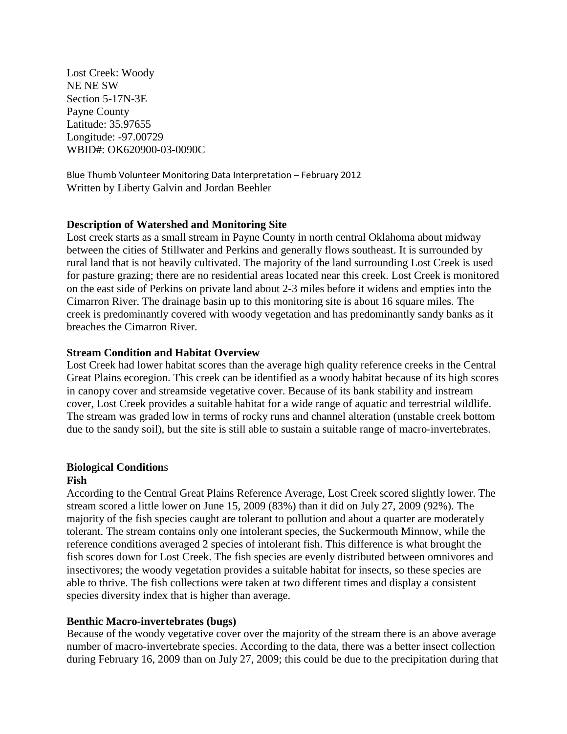Lost Creek: Woody NE NE SW Section 5-17N-3E Payne County Latitude: 35.97655 Longitude: -97.00729 WBID#: OK620900-03-0090C

Blue Thumb Volunteer Monitoring Data Interpretation – February 2012 Written by Liberty Galvin and Jordan Beehler

### **Description of Watershed and Monitoring Site**

Lost creek starts as a small stream in Payne County in north central Oklahoma about midway between the cities of Stillwater and Perkins and generally flows southeast. It is surrounded by rural land that is not heavily cultivated. The majority of the land surrounding Lost Creek is used for pasture grazing; there are no residential areas located near this creek. Lost Creek is monitored on the east side of Perkins on private land about 2-3 miles before it widens and empties into the Cimarron River. The drainage basin up to this monitoring site is about 16 square miles. The creek is predominantly covered with woody vegetation and has predominantly sandy banks as it breaches the Cimarron River.

### **Stream Condition and Habitat Overview**

Lost Creek had lower habitat scores than the average high quality reference creeks in the Central Great Plains ecoregion. This creek can be identified as a woody habitat because of its high scores in canopy cover and streamside vegetative cover. Because of its bank stability and instream cover, Lost Creek provides a suitable habitat for a wide range of aquatic and terrestrial wildlife. The stream was graded low in terms of rocky runs and channel alteration (unstable creek bottom due to the sandy soil), but the site is still able to sustain a suitable range of macro-invertebrates.

# **Biological Condition**s

### **Fish**

According to the Central Great Plains Reference Average, Lost Creek scored slightly lower. The stream scored a little lower on June 15, 2009 (83%) than it did on July 27, 2009 (92%). The majority of the fish species caught are tolerant to pollution and about a quarter are moderately tolerant. The stream contains only one intolerant species, the Suckermouth Minnow, while the reference conditions averaged 2 species of intolerant fish. This difference is what brought the fish scores down for Lost Creek. The fish species are evenly distributed between omnivores and insectivores; the woody vegetation provides a suitable habitat for insects, so these species are able to thrive. The fish collections were taken at two different times and display a consistent species diversity index that is higher than average.

### **Benthic Macro-invertebrates (bugs)**

Because of the woody vegetative cover over the majority of the stream there is an above average number of macro-invertebrate species. According to the data, there was a better insect collection during February 16, 2009 than on July 27, 2009; this could be due to the precipitation during that